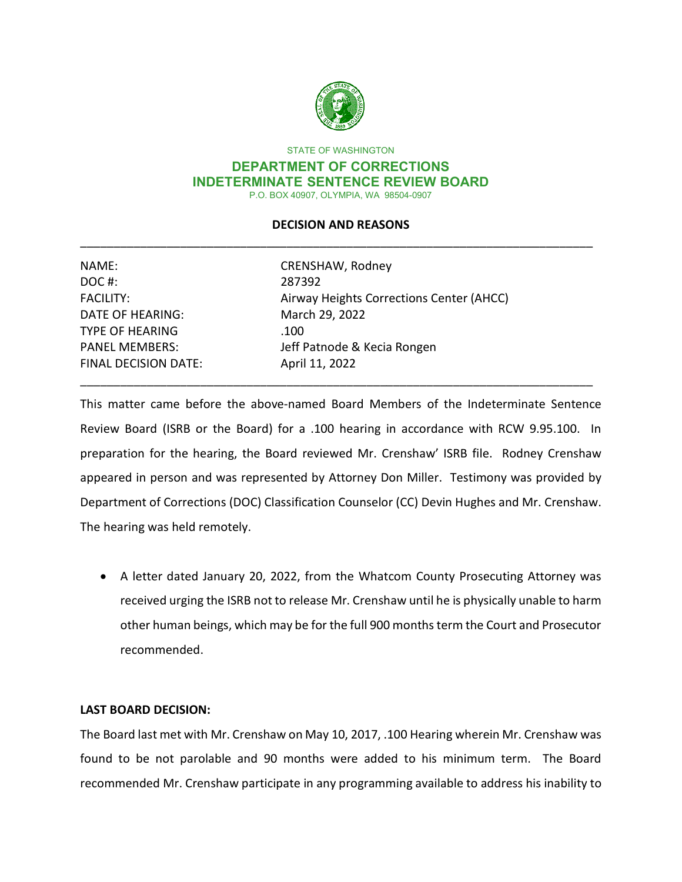

STATE OF WASHINGTON

### **DEPARTMENT OF CORRECTIONS INDETERMINATE SENTENCE REVIEW BOARD**  P.O. BOX 40907, OLYMPIA, WA 98504-0907

# \_\_\_\_\_\_\_\_\_\_\_\_\_\_\_\_\_\_\_\_\_\_\_\_\_\_\_\_\_\_\_\_\_\_\_\_\_\_\_\_\_\_\_\_\_\_\_\_\_\_\_\_\_\_\_\_\_\_\_\_\_\_\_\_\_\_\_\_\_\_\_\_\_\_\_\_\_ **DECISION AND REASONS**

| NAME:                       | CRENSHAW, Rodney                         |  |
|-----------------------------|------------------------------------------|--|
| DOC#:                       | 287392                                   |  |
| <b>FACILITY:</b>            | Airway Heights Corrections Center (AHCC) |  |
| DATE OF HEARING:            | March 29, 2022                           |  |
| <b>TYPE OF HEARING</b>      | .100                                     |  |
| <b>PANEL MEMBERS:</b>       | Jeff Patnode & Kecia Rongen              |  |
| <b>FINAL DECISION DATE:</b> | April 11, 2022                           |  |
|                             |                                          |  |

 Review Board (ISRB or the Board) for a .100 hearing in accordance with RCW 9.95.100. In preparation for the hearing, the Board reviewed Mr. Crenshaw' ISRB file. Rodney Crenshaw appeared in person and was represented by Attorney Don Miller. Testimony was provided by Department of Corrections (DOC) Classification Counselor (CC) Devin Hughes and Mr. Crenshaw. This matter came before the above-named Board Members of the Indeterminate Sentence The hearing was held remotely.

 received urging the ISRB not to release Mr. Crenshaw until he is physically unable to harm recommended. • A letter dated January 20, 2022, from the Whatcom County Prosecuting Attorney was other human beings, which may be for the full 900 months term the Court and Prosecutor

# **LAST BOARD DECISION:**

 found to be not parolable and 90 months were added to his minimum term. The Board The Board last met with Mr. Crenshaw on May 10, 2017, .100 Hearing wherein Mr. Crenshaw was recommended Mr. Crenshaw participate in any programming available to address his inability to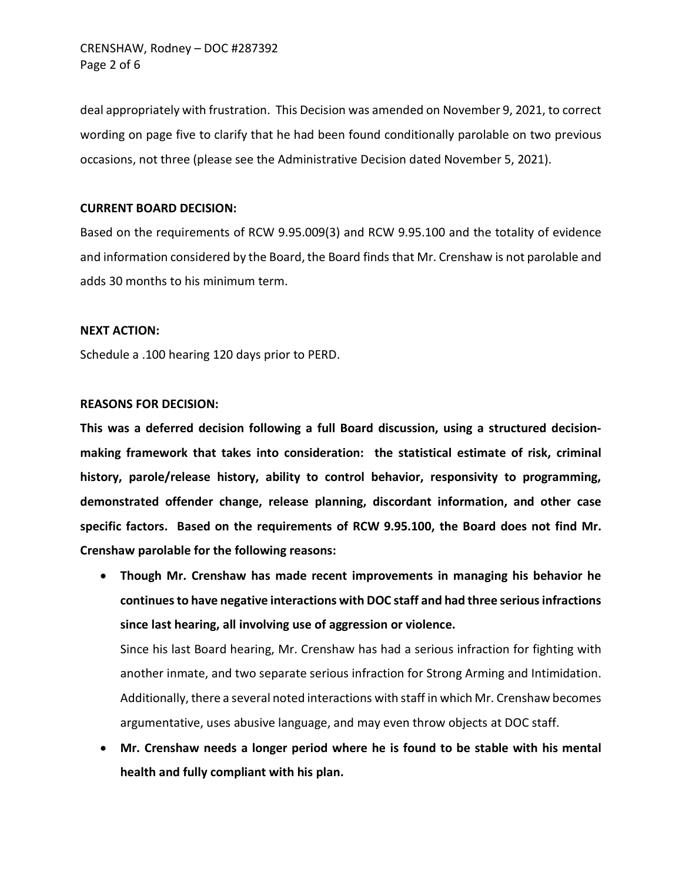Page 2 of 6 CRENSHAW, Rodney – DOC #287392

 occasions, not three (please see the Administrative Decision dated November 5, 2021). deal appropriately with frustration. This Decision was amended on November 9, 2021, to correct wording on page five to clarify that he had been found conditionally parolable on two previous

# **CURRENT BOARD DECISION:**

 adds 30 months to his minimum term. Based on the requirements of RCW 9.95.009(3) and RCW 9.95.100 and the totality of evidence and information considered by the Board, the Board finds that Mr. Crenshaw is not parolable and

### **NEXT ACTION:**

Schedule a .100 hearing 120 days prior to PERD.

### **REASONS FOR DECISION:**

 **specific factors. Based on the requirements of RCW 9.95.100, the Board does not find Mr. Crenshaw parolable for the following reasons: This was a deferred decision following a full Board discussion, using a structured decisionmaking framework that takes into consideration: the statistical estimate of risk, criminal history, parole/release history, ability to control behavior, responsivity to programming, demonstrated offender change, release planning, discordant information, and other case** 

• **Though Mr. Crenshaw has made recent improvements in managing his behavior he continues to have negative interactions with DOC staff and had three serious infractions since last hearing, all involving use of aggression or violence.** 

 another inmate, and two separate serious infraction for Strong Arming and Intimidation. Additionally, there a several noted interactions with staff in which Mr. Crenshaw becomes Since his last Board hearing, Mr. Crenshaw has had a serious infraction for fighting with argumentative, uses abusive language, and may even throw objects at DOC staff.

 • **Mr. Crenshaw needs a longer period where he is found to be stable with his mental health and fully compliant with his plan.**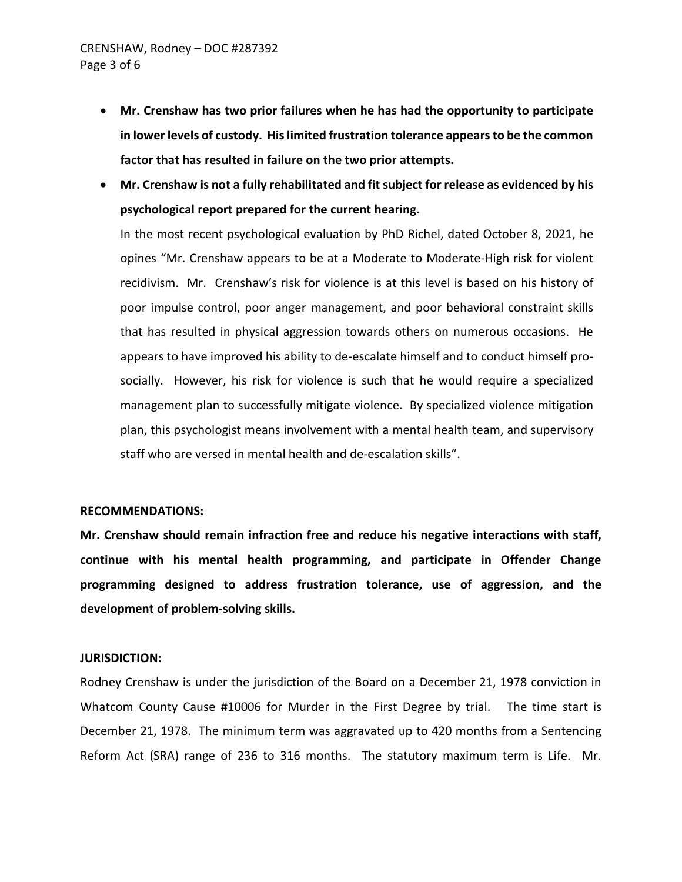- **in lower levels of custody. His limited frustration tolerance appears to be the common**  • **Mr. Crenshaw has two prior failures when he has had the opportunity to participate factor that has resulted in failure on the two prior attempts.**
- **Mr. Crenshaw is not a fully rehabilitated and fit subject for release as evidenced by his psychological report prepared for the current hearing.**

 recidivism. Mr. Crenshaw's risk for violence is at this level is based on his history of poor impulse control, poor anger management, and poor behavioral constraint skills that has resulted in physical aggression towards others on numerous occasions. He appears to have improved his ability to de-escalate himself and to conduct himself pro- socially. However, his risk for violence is such that he would require a specialized staff who are versed in mental health and de-escalation skills". In the most recent psychological evaluation by PhD Richel, dated October 8, 2021, he opines "Mr. Crenshaw appears to be at a Moderate to Moderate-High risk for violent management plan to successfully mitigate violence. By specialized violence mitigation plan, this psychologist means involvement with a mental health team, and supervisory

### **RECOMMENDATIONS:**

 **development of problem-solving skills. JURISDICTION: Mr. Crenshaw should remain infraction free and reduce his negative interactions with staff, continue with his mental health programming, and participate in Offender Change programming designed to address frustration tolerance, use of aggression, and the** 

 Whatcom County Cause #10006 for Murder in the First Degree by trial. The time start is Rodney Crenshaw is under the jurisdiction of the Board on a December 21, 1978 conviction in December 21, 1978. The minimum term was aggravated up to 420 months from a Sentencing Reform Act (SRA) range of 236 to 316 months. The statutory maximum term is Life. Mr.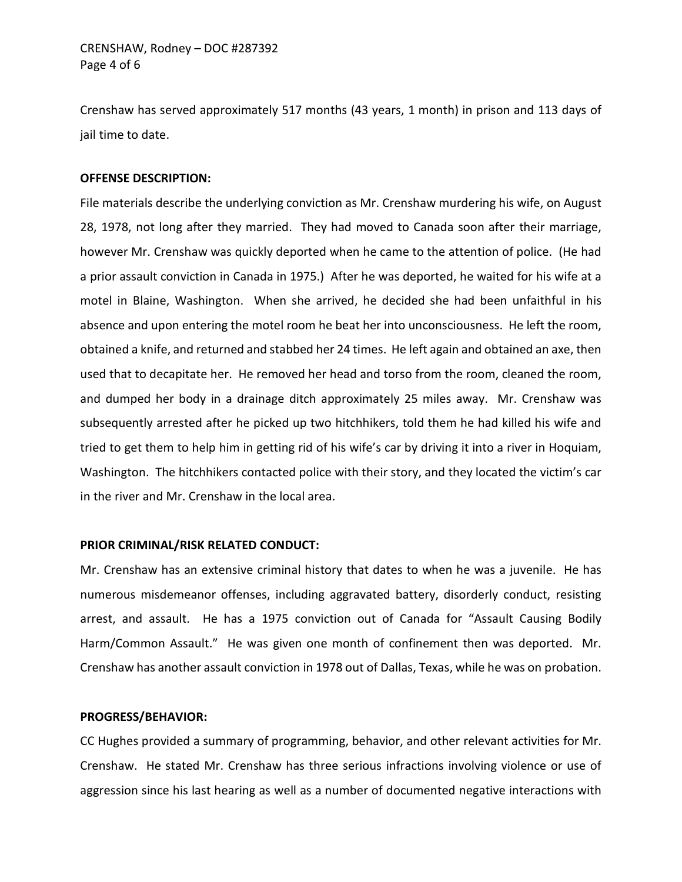Crenshaw has served approximately 517 months (43 years, 1 month) in prison and 113 days of jail time to date.

## **OFFENSE DESCRIPTION:**

 however Mr. Crenshaw was quickly deported when he came to the attention of police. (He had a prior assault conviction in Canada in 1975.) After he was deported, he waited for his wife at a motel in Blaine, Washington. When she arrived, he decided she had been unfaithful in his obtained a knife, and returned and stabbed her 24 times. He left again and obtained an axe, then tried to get them to help him in getting rid of his wife's car by driving it into a river in Hoquiam, in the river and Mr. Crenshaw in the local area. File materials describe the underlying conviction as Mr. Crenshaw murdering his wife, on August 28, 1978, not long after they married. They had moved to Canada soon after their marriage, absence and upon entering the motel room he beat her into unconsciousness. He left the room, used that to decapitate her. He removed her head and torso from the room, cleaned the room, and dumped her body in a drainage ditch approximately 25 miles away. Mr. Crenshaw was subsequently arrested after he picked up two hitchhikers, told them he had killed his wife and Washington. The hitchhikers contacted police with their story, and they located the victim's car

### **PRIOR CRIMINAL/RISK RELATED CONDUCT:**

 Mr. Crenshaw has an extensive criminal history that dates to when he was a juvenile. He has arrest, and assault. He has a 1975 conviction out of Canada for "Assault Causing Bodily Harm/Common Assault." He was given one month of confinement then was deported. Mr. Crenshaw has another assault conviction in 1978 out of Dallas, Texas, while he was on probation. numerous misdemeanor offenses, including aggravated battery, disorderly conduct, resisting

### **PROGRESS/BEHAVIOR:**

 CC Hughes provided a summary of programming, behavior, and other relevant activities for Mr. Crenshaw. He stated Mr. Crenshaw has three serious infractions involving violence or use of aggression since his last hearing as well as a number of documented negative interactions with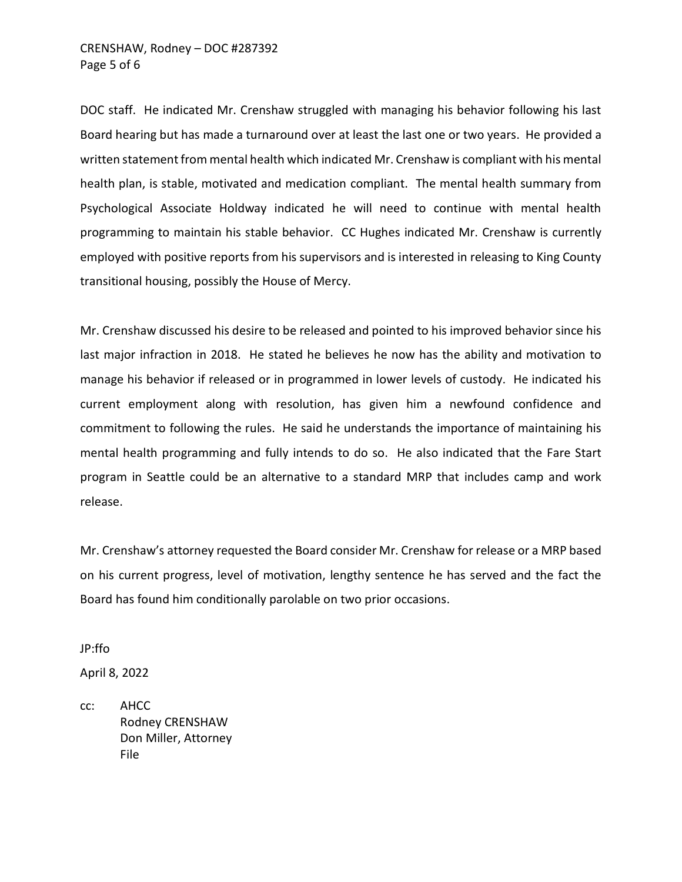# Page 5 of 6 CRENSHAW, Rodney – DOC #287392

 DOC staff. He indicated Mr. Crenshaw struggled with managing his behavior following his last Board hearing but has made a turnaround over at least the last one or two years. He provided a written statement from mental health which indicated Mr. Crenshaw is compliant with his mental health plan, is stable, motivated and medication compliant. The mental health summary from transitional housing, possibly the House of Mercy. Psychological Associate Holdway indicated he will need to continue with mental health programming to maintain his stable behavior. CC Hughes indicated Mr. Crenshaw is currently employed with positive reports from his supervisors and is interested in releasing to King County

 manage his behavior if released or in programmed in lower levels of custody. He indicated his current employment along with resolution, has given him a newfound confidence and mental health programming and fully intends to do so. He also indicated that the Fare Start program in Seattle could be an alternative to a standard MRP that includes camp and work Mr. Crenshaw discussed his desire to be released and pointed to his improved behavior since his last major infraction in 2018. He stated he believes he now has the ability and motivation to commitment to following the rules. He said he understands the importance of maintaining his release.

 on his current progress, level of motivation, lengthy sentence he has served and the fact the Board has found him conditionally parolable on two prior occasions. Mr. Crenshaw's attorney requested the Board consider Mr. Crenshaw for release or a MRP based

JP:ffo

April 8, 2022

 $cc:$ cc: AHCC Rodney CRENSHAW Don Miller, Attorney File